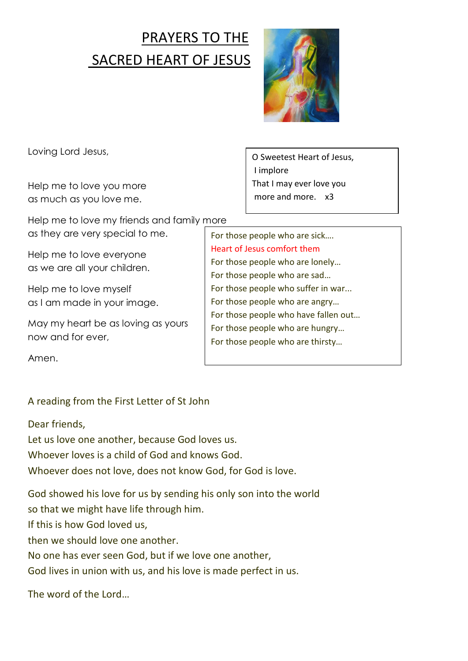## PRAYERS TO THE SACRED HEART OF JESUS



Loving Lord Jesus,

Help me to love you more as much as you love me.

Help me to love my friends and family more as they are very special to me.

Help me to love everyone as we are all your children.

Help me to love myself as I am made in your image.

May my heart be as loving as yours now and for ever,

Amen.

## A reading from the First Letter of St John

Dear friends,

Let us love one another, because God loves us. Whoever loves is a child of God and knows God. Whoever does not love, does not know God, for God is love.

God showed his love for us by sending his only son into the world so that we might have life through him. If this is how God loved us, then we should love one another. No one has ever seen God, but if we love one another, God lives in union with us, and his love is made perfect in us.

The word of the Lord…

O Sweetest Heart of Jesus, I implore That I may ever love you more and more x3

For those people who are sick…. Heart of Jesus comfort them For those people who are lonely… For those people who are sad… For those people who suffer in war... For those people who are angry… For those people who have fallen out… For those people who are hungry… For those people who are thirsty…